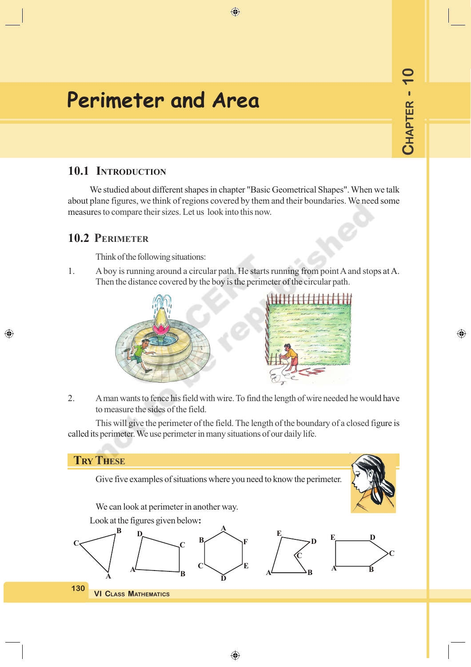◈

# **Perimeter and Area**

# **10.1 INTRODUCTION**

We studied about different shapes in chapter "Basic Geometrical Shapes". When we talk about plane figures, we think of regions covered by them and their boundaries. We need some measures to compare their sizes. Let us look into this now.

 $\bigoplus$ 

# **10.2 PERIMETER**

◈

Think of the following situations:

1. A boy is running around a circular path. He starts running from point A and stops at A. Then the distance covered by the boy is the perimeter of the circular path.



2. A man wants to fence his field with wire. To find the length of wire needed he would have to measure the sides of the field.

This will give the perimeter of the field. The length of the boundary of a closed figure is called its perimeter. We use perimeter in many situations of our daily life.

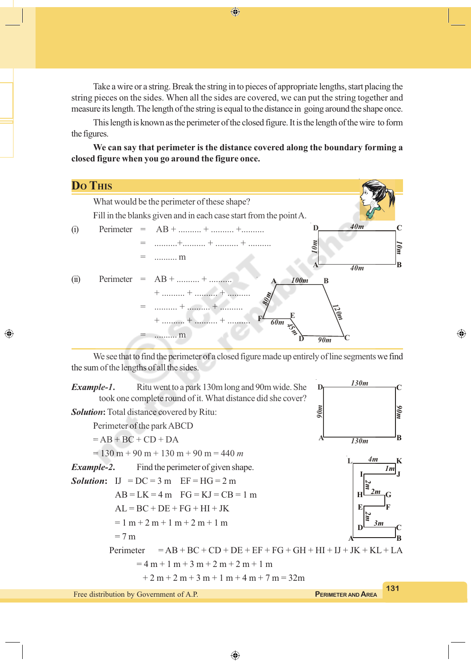Take a wire or a string. Break the string in to pieces of appropriate lengths, start placing the string pieces on the sides. When all the sides are covered, we can put the string together and measure its length. The length of the string is equal to the distance in going around the shape once.

This length is known as the perimeter of the closed figure. It is the length of the wire to form the figures.

**We can say that perimeter is the distance covered along the boundary forming a closed figure when you go around the figure once.**



We see that to find the perimeter of a closed figure made up entirely of line segments we find the sum of the lengths of all the sides.



◈

◈

⊕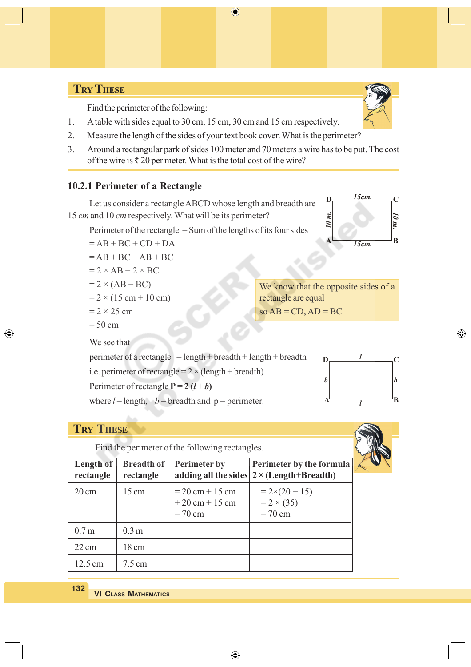### **TRY THESE**

Find the perimeter of the following:

- 1. A table with sides equal to 30 cm, 15 cm, 30 cm and 15 cm respectively.
- 2. Measure the length of the sides of your text book cover. What is the perimeter?
- 3. Around a rectangular park of sides 100 meter and 70 meters a wire has to be put. The cost of the wire is  $\bar{\tau}$  20 per meter. What is the total cost of the wire?

 $\bigoplus$ 

#### **10.2.1 Perimeter of a Rectangle**

Let us consider a rectangle ABCD whose length and breadth are 15 *cm* and 10 *cm* respectively. What will be its perimeter?

Perimeter of the rectangle  $=$  Sum of the lengths of its four sides

 $= AB + BC + CD + DA$ 

$$
= AB + BC + AB + BC
$$

$$
= 2 \times AB + 2 \times BC
$$

$$
= 2 \times (AB + BC)
$$

- $= 2 \times (15 \text{ cm} + 10 \text{ cm})$
- $= 2 \times 25$  cm

 $= 50$  cm

◈

We see that

perimeter of a rectangle  $=$  length + breadth + length + breadth i.e. perimeter of rectangle =  $2 \times$  (length + breadth) Perimeter of rectangle  $P = 2(I + b)$ 

where  $l =$  length,  $b =$  breadth and  $p =$  perimeter.

### **TRY THESE**

Find the perimeter of the following rectangles.

| <b>Length of</b><br>rectangle | <b>Breadth of</b><br>rectangle | <b>Perimeter by</b><br>adding all the sides         | Perimeter by the formula<br>$2 \times (Length + Breadth)$ |
|-------------------------------|--------------------------------|-----------------------------------------------------|-----------------------------------------------------------|
| $20 \text{ cm}$               | $15 \text{ cm}$                | $= 20$ cm + 15 cm<br>$+20$ cm $+15$ cm<br>$= 70$ cm | $= 2 \times (20 + 15)$<br>$= 2 \times (35)$<br>$= 70$ cm  |
| 0.7 <sub>m</sub>              | 0.3 <sub>m</sub>               |                                                     |                                                           |
| $22 \text{ cm}$               | 18 cm                          |                                                     |                                                           |
| $12.5 \text{ cm}$             | $7.5 \text{ cm}$               |                                                     |                                                           |

**132**

**VI CLASS MATHEMATICS**



 $D \sim 15$ *cm.*  $C$ 

*15cm.*

**B**

◈

*10 m.*



rectangle are equal  $so AB = CD, AD = BC$ 

We know that the opposite sides of a

**A**

*10 m.*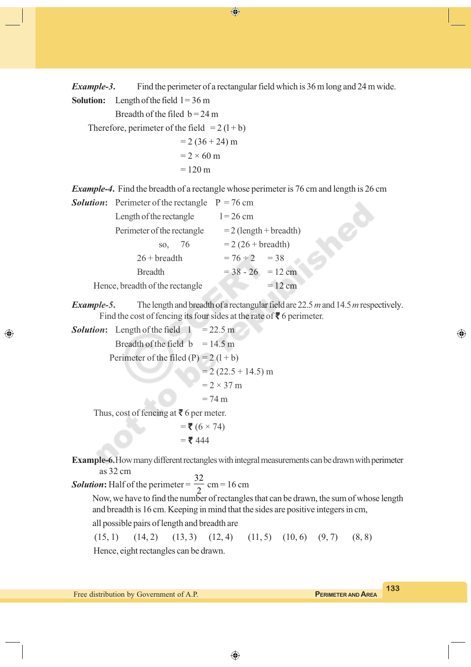*Example-3***.** Find the perimeter of a rectangular field which is 36 m long and 24 m wide.

 $\bigoplus$ 

**Solution:** Length of the field  $l = 36$  m

Breadth of the filed  $b = 24$  m

Therefore, perimeter of the field  $= 2 (1 + b)$ 

$$
= 2 (36 + 24)
$$
 m  

$$
= 2 \times 60
$$
 m  

$$
= 120
$$
 m

*Example-4***.** Find the breadth of a rectangle whose perimeter is 76 cm and length is 26 cm

| <b>Solution:</b> Perimeter of the rectangle $P = 76$ cm |                          |           |
|---------------------------------------------------------|--------------------------|-----------|
| Length of the rectangle                                 | $l = 26$ cm              |           |
| Perimeter of the rectangle                              | $= 2$ (length + breadth) |           |
| so, $76$                                                | $= 2 (26 + breadth)$     |           |
| $26 + b$ readth                                         | $= 76 \div 2 = 38$       |           |
| <b>Breadth</b>                                          | $= 38 - 26 = 12$ cm      |           |
| Hence, breadth of the rectangle                         |                          | $= 12$ cm |

*Example-5***.** The length and breadth of a rectangular field are 22.5 *m* and 14.5 *m* respectively. Find the cost of fencing its four sides at the rate of  $\bar{\mathbf{z}}$  6 perimeter.

**Solution:** Length of the field  $1 = 22.5$  m Breadth of the field  $b = 14.5 \text{ m}$ Perimeter of the filed  $(P) = 2(1 + b)$  $= 2 (22.5 + 14.5)$  m

◈

$$
= 2 (22.3 + 14.3)
$$
  
= 2 × 37 m  
= 74 m

Thus, cost of fencing at  $\bar{\mathbf{\mathcal{Z}}}$  6 per meter.

$$
=
$$
 $\overline{5}$  (6 × 74)  

$$
=
$$
 $\overline{5}$  444

**Example-6.**How many different rectangles with integral measurements can be drawn with perimeter as 32 cm

*Solution***:** Half of the perimeter = 32  $\frac{2}{2}$  cm = 16 cm

Now, we have to find the number of rectangles that can be drawn, the sum of whose length and breadth is 16 cm. Keeping in mind that the sides are positive integers in cm,

all possible pairs of length and breadth are

 $(15, 1)$   $(14, 2)$   $(13, 3)$   $(12, 4)$   $(11, 5)$   $(10, 6)$   $(9, 7)$   $(8, 8)$ Hence, eight rectangles can be drawn.

**133**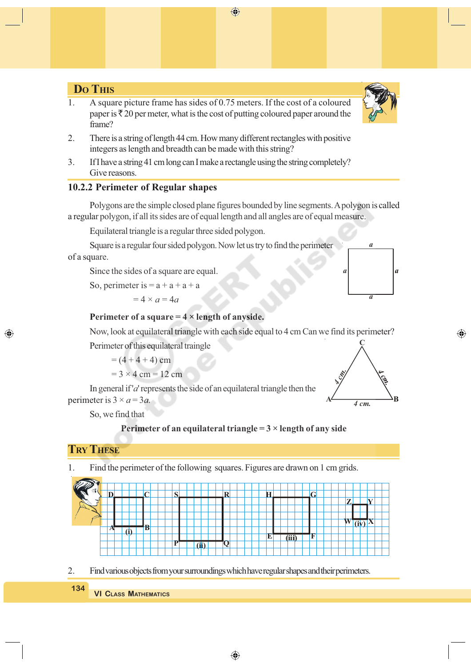$\bigoplus$ 

# **DO THIS**

- 1. A square picture frame has sides of 0.75 meters. If the cost of a coloured paper is  $\bar{\tau}$  20 per meter, what is the cost of putting coloured paper around the frame?
- 2. There is a string of length 44 cm. How many different rectangles with positive integers as length and breadth can be made with this string?
- 3. If I have a string 41 cm long can I make a rectangle using the string completely? Give reasons.

#### **10.2.2 Perimeter of Regular shapes**

Polygons are the simple closed plane figures bounded by line segments. A polygon is called a regular polygon, if all its sides are of equal length and all angles are of equal measure.

Equilateral triangle is a regular three sided polygon.

Square is a regular four sided polygon. Now let us try to find the perimeter of a square.

Since the sides of a square are equal.

So, perimeter is  $= a + a + a + a$ 

 $= 4 \times a = 4a$ 

#### **Perimeter of a square = 4 × length of anyside.**

Now, look at equilateral triangle with each side equal to 4 cm Can we find its perimeter? Perimeter of this equilateral traingle **C**

 $= (4 + 4 + 4)$  cm

$$
= 3 \times 4 \text{ cm} = 12 \text{ cm}
$$

In general if '*a*' represents the side of an equilateral triangle then the perimeter is  $3 \times a = 3a$ .

So, we find that

#### **Perimeter of an equilateral triangle = 3 × length of any side**

### **TRY THESE**

◈

1. Find the perimeter of the following squares. Figures are drawn on 1 cm grids.



2. Find various objects from your surroundings which have regular shapes and their perimeters.



**VI CLASS MATHEMATICS**



*a*

*a*

*a*

⊕

*a*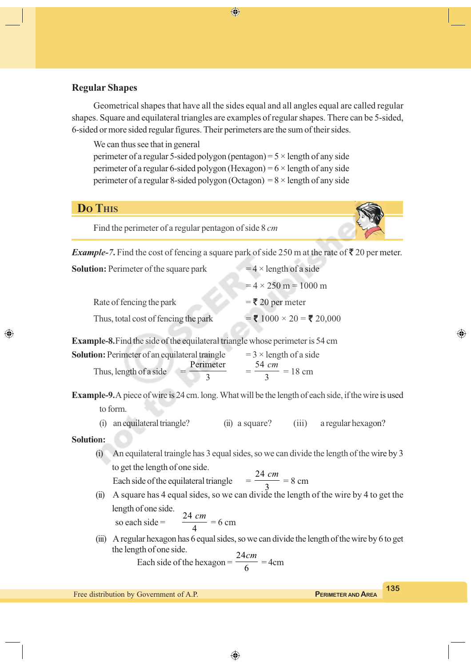#### **Regular Shapes**

Geometrical shapes that have all the sides equal and all angles equal are called regular shapes. Square and equilateral triangles are examples of regular shapes. There can be 5-sided, 6-sided or more sided regular figures. Their perimeters are the sum of their sides.

⊕

We can thus see that in general perimeter of a regular 5-sided polygon (pentagon) =  $5 \times$  length of any side perimeter of a regular 6-sided polygon (Hexagon) =  $6 \times$  length of any side perimeter of a regular 8-sided polygon (Octagon) =  $8 \times$  length of any side

### **DO THIS**

Find the perimeter of a regular pentagon of side 8 *cm*

*Example-7*. Find the cost of fencing a square park of side 250 m at the rate of  $\bar{\mathbf{z}}$  20 per meter.

| <b>Solution:</b> Perimeter of the square park | $=$ 4 $\times$ length of a side |
|-----------------------------------------------|---------------------------------|
|                                               | $= 4 \times 250$ m = 1000 m     |
| Rate of fencing the park                      | $=$ ₹ 20 per meter              |
| Thus, total cost of fencing the park          | $= 71000 \times 20 = 720,000$   |
|                                               |                                 |

**Example-8.**Find the side of the equilateral triangle whose perimeter is 54 cm

**Solution:** Perimeter of an equilateral traingle  $= 3 \times$  length of a side Thus, length of a side  $=$ Perimeter 3 = 54 3 *cm*  $= 18$  cm

**Example-9.**A piece of wire is 24 cm. long. What will be the length of each side, if the wire is used to form.

(i) an equilateral triangle? (ii) a square? (iii) a regular hexagon?

#### **Solution:**

◈

(i) An equilateral traingle has 3 equal sides, so we can divide the length of the wire by 3 to get the length of one side. Each side of the 24 *cm*

$$
= \frac{24 \text{ cm}}{3} = 8 \text{ cm}
$$

(ii) A square has 4 equal sides, so we can divide the length of the wire by 4 to get the length of one side.  $\rm{so}$  e 24 *cm*

each side = 
$$
\frac{24 \text{ cm}}{4} = 6 \text{ cm}
$$

(iii) A regular hexagon has 6 equal sides, so we can divide the length of the wire by 6 to get the length of one side.  $\frac{1}{2}$ *cm*

Each side of the hexagon = 
$$
\frac{24cm}{6}
$$
 = 4cm

**135**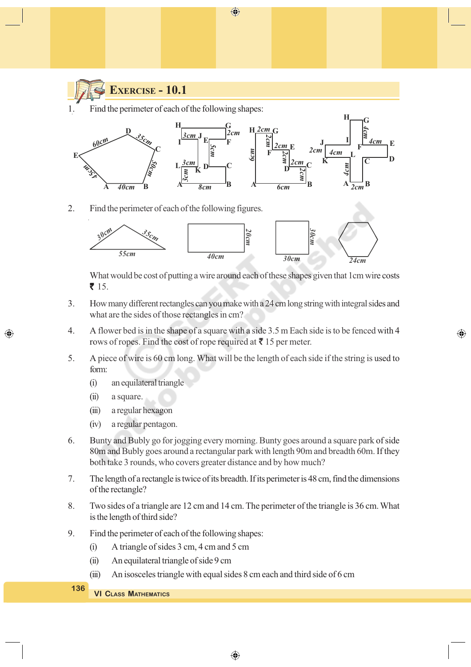$\bigoplus$ 



# **EXERCISE - 10.1**

1. Find the perimeter of each of the following shapes:



2. Find the perimeter of each of the following figures.



What would be cost of putting a wire around each of these shapes given that 1cm wire costs  $715.$ 

⊕

- 3. How many different rectangles can you make with a 24 cm long string with integral sides and what are the sides of those rectangles in cm?
- 4. A flower bed is in the shape of a square with a side 3.5 m Each side is to be fenced with 4 rows of ropes. Find the cost of rope required at  $\bar{\tau}$  15 per meter.
- 5. A piece of wire is 60 cm long. What will be the length of each side if the string is used to form:
	- (i) an equilateral triangle
	- (ii) a square.

◈

- (iii) a regular hexagon
- (iv) a regular pentagon.
- 6. Bunty and Bubly go for jogging every morning. Bunty goes around a square park of side 80m and Bubly goes around a rectangular park with length 90m and breadth 60m. If they both take 3 rounds, who covers greater distance and by how much?
- 7. The length of a rectangle is twice of its breadth. If its perimeter is 48 cm, find the dimensions of the rectangle?
- 8. Two sides of a triangle are 12 cm and 14 cm. The perimeter of the triangle is 36 cm. What is the length of third side?
- 9. Find the perimeter of each of the following shapes:
	- (i) A triangle of sides 3 cm, 4 cm and 5 cm
	- (ii) An equilateral triangle of side 9 cm
	- (iii) An isosceles triangle with equal sides 8 cm each and third side of 6 cm
- **VI CLASS MATHEMATICS 136**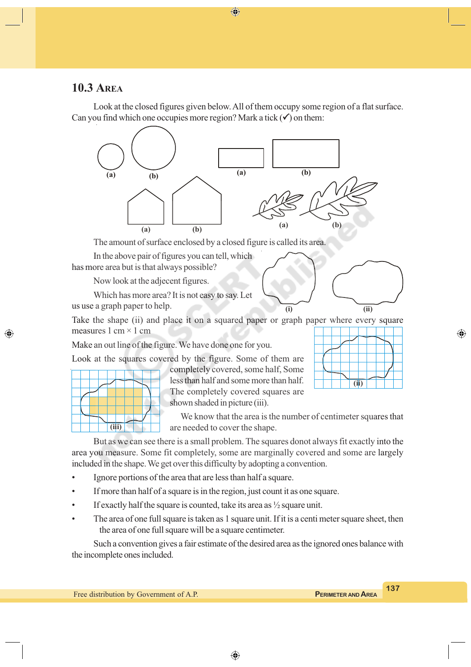# **10.3 AREA**

Look at the closed figures given below. All of them occupy some region of a flat surface. Can you find which one occupies more region? Mark a tick  $(\checkmark)$  on them:

⊕



The amount of surface enclosed by a closed figure is called its area.

In the above pair of figures you can tell, which

has more area but is that always possible?

Now look at the adjecent figures.

Which has more area? It is not easy to say. Let us use a graph paper to help.

Take the shape (ii) and place it on a squared paper or graph paper where every square measures  $1 \text{ cm} \times 1 \text{ cm}$ 

Make an out line of the figure. We have done one for you.

Look at the squares covered by the figure. Some of them are

|  |  | 7:1 | Щ. |  |  |
|--|--|-----|----|--|--|

◈

completely covered, some half, Some less than half and some more than half. The completely covered squares are shown shaded in picture (iii).

We know that the area is the number of centimeter squares that are needed to cover the shape.

**(i) (ii)**

**(ii)**

⊕

But as we can see there is a small problem. The squares donot always fit exactly into the area you measure. Some fit completely, some are marginally covered and some are largely included in the shape. We get over this difficulty by adopting a convention.

- Ignore portions of the area that are less than half a square.
- If more than half of a square is in the region, just count it as one square.
- If exactly half the square is counted, take its area as  $\frac{1}{2}$  square unit.
- The area of one full square is taken as 1 square unit. If it is a centi meter square sheet, then the area of one full square will be a square centimeter.

Such a convention gives a fair estimate of the desired area as the ignored ones balance with the incomplete ones included.

**137**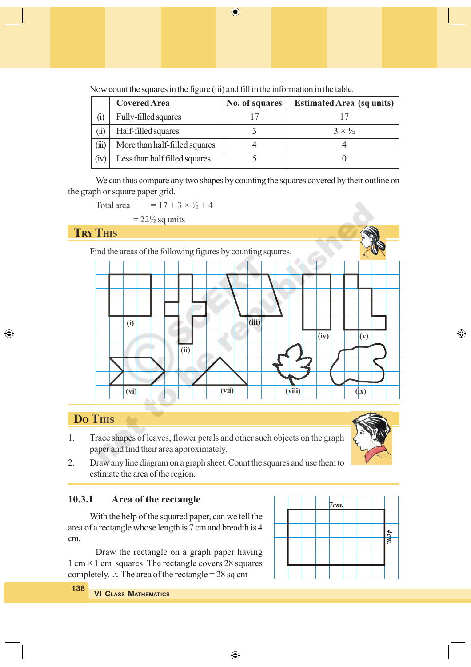$\bigoplus$ 

|                               | <b>Covered Area</b>           | No. of squares | <b>Estimated Area (sq units)</b> |
|-------------------------------|-------------------------------|----------------|----------------------------------|
| $\rm \left( \text{i} \right)$ | Fully-filled squares          |                |                                  |
| $\rm (ii)$                    | Half-filled squares           |                | $3 \times \frac{1}{2}$           |
| (iii)                         | More than half-filled squares |                |                                  |
| $\overline{y}$                | Less than half filled squares |                |                                  |

Now count the squares in the figure (iii) and fill in the information in the table.

We can thus compare any two shapes by counting the squares covered by their outline on the graph or square paper grid.

Total area 
$$
= 17 + 3 \times \frac{1}{2} + 4
$$

$$
= 22\frac{1}{2}
$$
 sq units

# **TRY THIS**

Find the areas of the following figures by counting squares.

**(i) (ii) (iii)**  $(iv)$   $(v)$ **(vi) (vii) (viii) (ix)**

# **DO THIS**

◈

1. Trace shapes of leaves, flower petals and other such objects on the graph paper and find their area approximately.



◈

2. Draw any line diagram on a graph sheet. Count the squares and use them to estimate the area of the region.

### **10.3.1 Area of the rectangle**

With the help of the squared paper, can we tell the area of a rectangle whose length is 7 cm and breadth is 4 cm.

Draw the rectangle on a graph paper having  $1 \text{ cm} \times 1 \text{ cm}$  squares. The rectangle covers 28 squares completely.  $\therefore$  The area of the rectangle = 28 sq cm



**VI CLASS MATHEMATICS 138**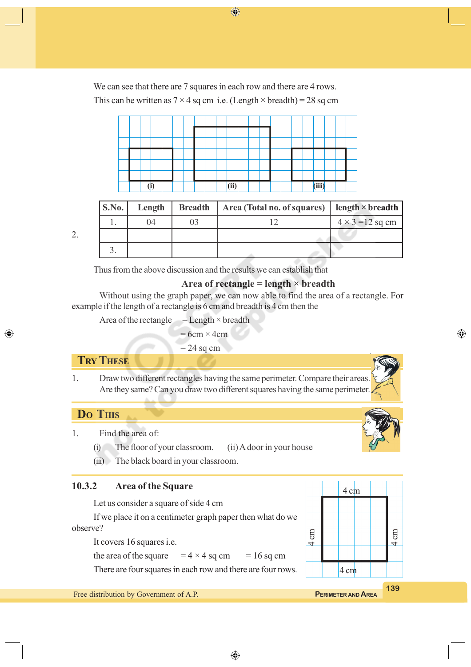⊕

We can see that there are 7 squares in each row and there are 4 rows. This can be written as  $7 \times 4$  sq cm i.e. (Length  $\times$  breadth) = 28 sq cm



2.

◈

Thus from the above discussion and the results we can establish that

#### **Area of rectangle = length × breadth**

1. 04 03 12  $12 \times 3 = 12$  sq cm

Without using the graph paper, we can now able to find the area of a rectangle. For example if the length of a rectangle is 6 cm and breadth is 4 cmthen the

Area of the rectangle  $=$  Length  $\times$  breadth

 $= 6cm \times 4cm$ 

 $= 24$  sq cm

### **TRY THESE**

3.

1. Draw two different rectangles having the same perimeter. Compare their areas. Are they same? Can you draw two different squares having the same perimeter.

### **DO THIS**

1. Find the area of:

- (i) The floor of your classroom. (ii) A door in your house
- (iii) The black board in your classroom.

#### **10.3.2 Area of the Square**

Let us consider a square of side 4 cm

If we place it on a centimeter graph paper then what do we observe?

It covers 16 squares i.e.

the area of the square  $= 4 \times 4$  sq cm  $= 16$  sq cm

There are four squares in each row and there are four rows. 4 cm

```
Free distribution by Government of A.P. PERIMETER AND AREA
```


**139**

⊕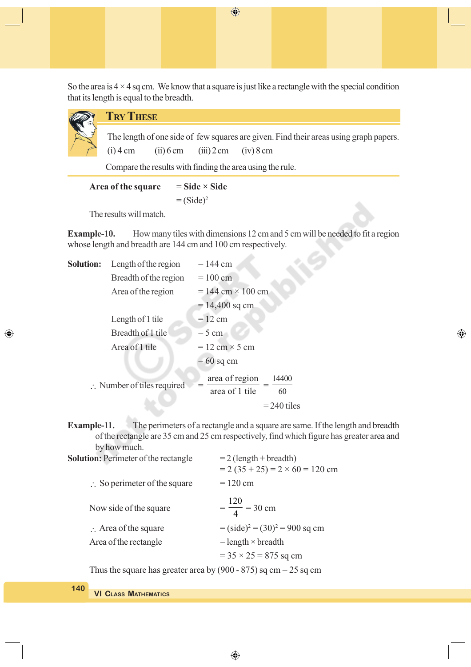So the area is  $4 \times 4$  sq cm. We know that a square is just like a rectangle with the special condition that its length is equal to the breadth.

# **TRY THESE**

 The length of one side of few squares are given. Find their areas using graph papers.  $(i)$  4 cm  $(ii)$  6 cm  $(iii)$  2 cm  $(iv)$  8 cm

Compare the results with finding the area using the rule.

**Area of the square** = **Side × Side**  $=$  (Side)<sup>2</sup>

The results will match.

**Example-10.** How many tiles with dimensions 12 cm and 5 cm will be needed to fit a region whose length and breadth are 144 cm and 100 cm respectively.

⊕

| <b>Solution:</b> | Length of the region                  | $= 144$ cm                                      |
|------------------|---------------------------------------|-------------------------------------------------|
|                  | Breadth of the region                 | $= 100$ cm                                      |
|                  | Area of the region                    | $= 144$ cm $\times 100$ cm                      |
|                  |                                       | $= 14,400$ sq cm                                |
|                  | Length of 1 tile                      | $= 12$ cm                                       |
|                  | Breadth of 1 tile                     | $=$ 5 cm                                        |
|                  | Area of 1 tile                        | $= 12 \text{ cm} \times 5 \text{ cm}$           |
|                  |                                       | $= 60$ sq cm                                    |
|                  | $\therefore$ Number of tiles required | area of region<br>14400<br>area of 1 tile<br>60 |
|                  |                                       | $=$ 240 tiles                                   |

**Example-11.** The perimeters of a rectangle and a square are same. If the length and breadth of the rectangle are 35 cm and 25 cm respectively, find which figure has greater area and by how much.

⊕

| <b>Solution: Perimeter of the rectangle</b>                           | $= 2$ (length + breadth)<br>$= 2 (35 + 25) = 2 \times 60 = 120$ cm |
|-----------------------------------------------------------------------|--------------------------------------------------------------------|
| $\therefore$ So perimeter of the square                               | $= 120$ cm                                                         |
| Now side of the square                                                | $=\frac{120}{4}$ = 30 cm                                           |
| $\therefore$ Area of the square                                       | $= (side)^2 = (30)^2 = 900$ sq cm                                  |
| Area of the rectangle                                                 | $=$ length $\times$ breadth                                        |
|                                                                       | $=$ 35 $\times$ 25 $=$ 875 sq cm                                   |
| Thus the cause has exected associated $(0.0000075)$ as an $-25$ as an |                                                                    |

Thus the square has greater area by (900 - 875) sq  $cm = 25$  sq cm

# **140**

◈

**VI CLASS MATHEMATICS**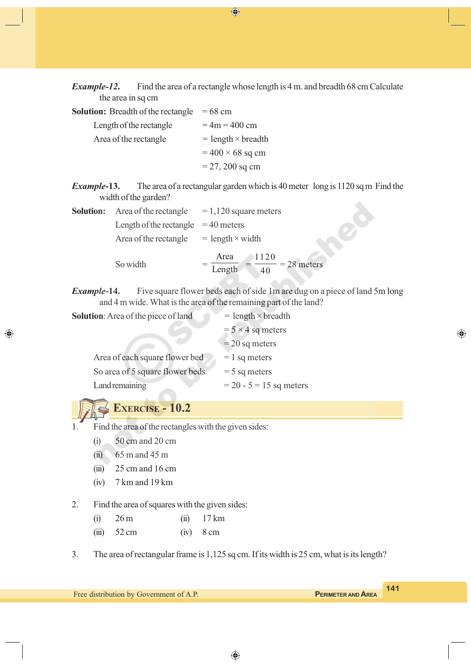*Example-12***.** Find the area of a rectangle whose length is 4 m. and breadth 68 cm Calculate the area in sq cm

 $\bigoplus$ 

**Solution:** Breadth of the rectangle  $= 68$  cm

| Length of the rectangle | $= 4m = 400$ cm             |
|-------------------------|-----------------------------|
| Area of the rectangle   | $=$ length $\times$ breadth |
|                         | $= 400 \times 68$ sq cm     |
|                         | $= 27,200$ sq cm            |

*Example***-13.** The area of a rectangular garden which is 40 meter long is 1120 sq m Find the width of the garden?

| <b>Solution:</b> | Area of the rectangle   | $= 1,120$ square meters                       |
|------------------|-------------------------|-----------------------------------------------|
|                  | Length of the rectangle | $=$ 40 meters                                 |
|                  | Area of the rectangle   | $=$ length $\times$ width                     |
|                  | So width                | Area<br>1120<br>$= 28$ meters<br>Length<br>40 |

*Example***-14.** Five square flower beds each of side 1m are dug on a piece of land 5m long and 4 m wide. What is the area of the remaining part of the land?

| <b>Solution:</b> Area of the piece of land | $=$ length $\times$ breadth |  |  |
|--------------------------------------------|-----------------------------|--|--|
|                                            | $= 5 \times 4$ sq meters    |  |  |
|                                            | $=$ 20 sq meters            |  |  |
| Area of each square flower bed             | $= 1$ sq meters             |  |  |
| So area of 5 square flower beds            | $=$ 5 sq meters             |  |  |
| Land remaining                             | $= 20 - 5 = 15$ sq meters   |  |  |

**EXERCISE - 10.2**

◈

1. Find the area of the rectangles with the given sides:

- (i) 50 cm and 20 cm
- (ii) 65 m and 45 m
- $(iii)$  25 cm and 16 cm
- (iv) 7 km and 19 km

2. Find the area of squares with the given sides:

(i) 26 m (ii) 17 km

- (iii) 52 cm (iv) 8 cm
- 3. The area of rectangular frame is 1,125 sq cm. If its width is 25 cm, what is its length?

**141**

◈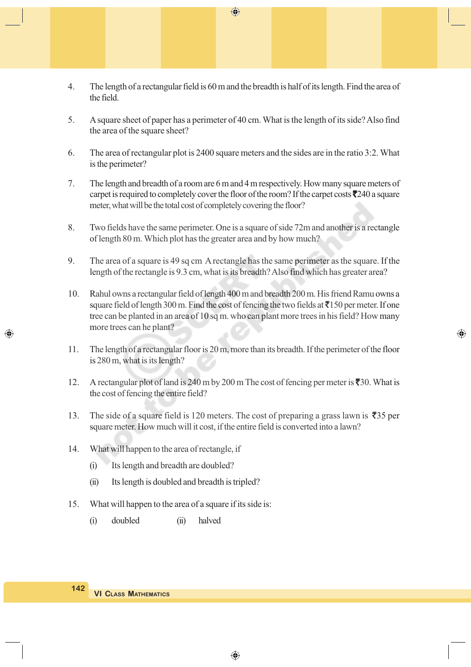- 4. The length of a rectangular field is 60 m and the breadth is half of its length. Find the area of the field.
- 5. A square sheet of paper has a perimeter of 40 cm. What is the length of its side? Also find the area of the square sheet?
- 6. The area of rectangular plot is 2400 square meters and the sides are in the ratio 3:2. What is the perimeter?
- 7. The length and breadth of a room are 6 m and 4 m respectively. How many square meters of carpet is required to completely cover the floor of the room? If the carpet costs  $\overline{\mathbf{z}}$ 240 a square meter, what will be the total cost of completely covering the floor?
- 8. Two fields have the same perimeter. One is a square of side 72m and another is a rectangle of length 80 m. Which plot has the greater area and by how much?
- 9. The area of a square is 49 sq cm A rectangle has the same perimeter as the square. If the length of the rectangle is 9.3 cm, what is its breadth? Also find which has greater area?
- 10. Rahul owns a rectangular field of length 400 m and breadth 200 m. His friend Ramu owns a square field of length 300 m. Find the cost of fencing the two fields at  $\overline{5}150$  per meter. If one tree can be planted in an area of 10 sq m. who can plant more trees in his field? How many more trees can he plant?
- 11. The length of a rectangular floor is 20 m, more than its breadth. If the perimeter of the floor is 280 m, what is its length?

⊕

- 12. A rectangular plot of land is 240 m by 200 m The cost of fencing per meter is  $\bar{x}$ 30. What is the cost of fencing the entire field?
- 13. The side of a square field is 120 meters. The cost of preparing a grass lawn is  $\overline{3}35$  per square meter. How much will it cost, if the entire field is converted into a lawn?

◈

14. What will happen to the area of rectangle, if

◈

- (i) Its length and breadth are doubled?
- (ii) Its length is doubled and breadth is tripled?
- 15. What will happen to the area of a square if its side is:
	- (i) doubled (ii) halved

 $\bigcirc$